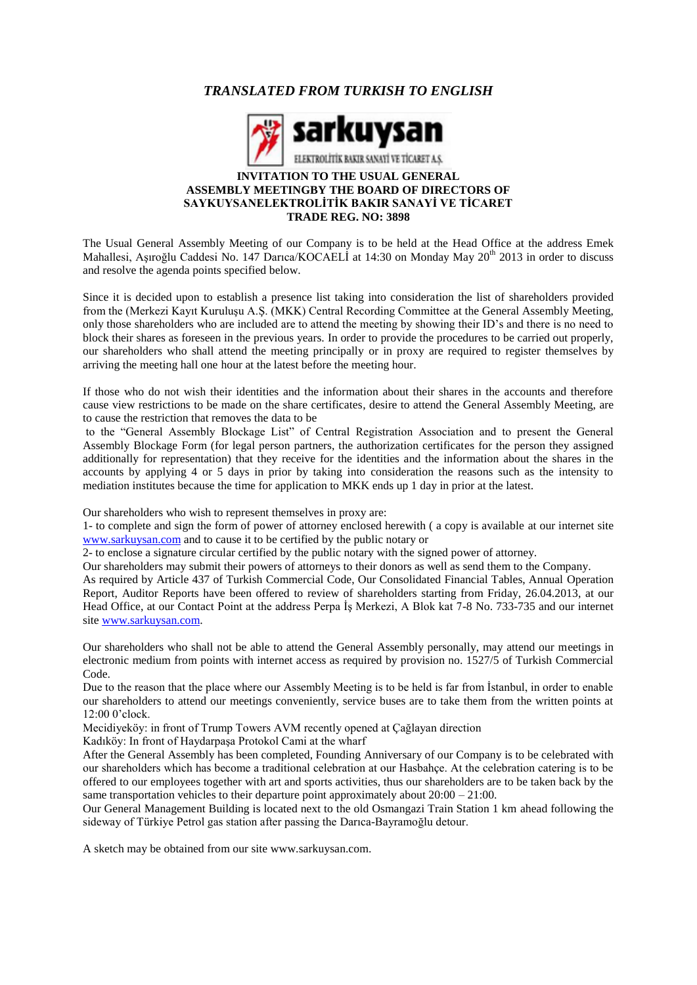# *TRANSLATED FROM TURKISH TO ENGLISH*



#### **INVITATION TO THE USUAL GENERAL ASSEMBLY MEETINGBY THE BOARD OF DIRECTORS OF SAYKUYSANELEKTROLİTİK BAKIR SANAYİ VE TİCARET TRADE REG. NO: 3898**

The Usual General Assembly Meeting of our Company is to be held at the Head Office at the address Emek Mahallesi, Aşıroğlu Caddesi No. 147 Darıca/KOCAELİ at 14:30 on Monday May 20<sup>th</sup> 2013 in order to discuss and resolve the agenda points specified below.

Since it is decided upon to establish a presence list taking into consideration the list of shareholders provided from the (Merkezi Kayıt Kuruluşu A.Ş. (MKK) Central Recording Committee at the General Assembly Meeting, only those shareholders who are included are to attend the meeting by showing their ID's and there is no need to block their shares as foreseen in the previous years. In order to provide the procedures to be carried out properly, our shareholders who shall attend the meeting principally or in proxy are required to register themselves by arriving the meeting hall one hour at the latest before the meeting hour.

If those who do not wish their identities and the information about their shares in the accounts and therefore cause view restrictions to be made on the share certificates, desire to attend the General Assembly Meeting, are to cause the restriction that removes the data to be

to the "General Assembly Blockage List" of Central Registration Association and to present the General Assembly Blockage Form (for legal person partners, the authorization certificates for the person they assigned additionally for representation) that they receive for the identities and the information about the shares in the accounts by applying 4 or 5 days in prior by taking into consideration the reasons such as the intensity to mediation institutes because the time for application to MKK ends up 1 day in prior at the latest.

Our shareholders who wish to represent themselves in proxy are:

1- to complete and sign the form of power of attorney enclosed herewith ( a copy is available at our internet site [www.sarkuysan.com](http://www.sarkuysan.com/) and to cause it to be certified by the public notary or

2- to enclose a signature circular certified by the public notary with the signed power of attorney.

Our shareholders may submit their powers of attorneys to their donors as well as send them to the Company.

As required by Article 437 of Turkish Commercial Code, Our Consolidated Financial Tables, Annual Operation Report, Auditor Reports have been offered to review of shareholders starting from Friday, 26.04.2013, at our Head Office, at our Contact Point at the address Perpa İş Merkezi, A Blok kat 7-8 No. 733-735 and our internet site [www.sarkuysan.com.](http://www.sarkuysan.com/)

Our shareholders who shall not be able to attend the General Assembly personally, may attend our meetings in electronic medium from points with internet access as required by provision no. 1527/5 of Turkish Commercial Code.

Due to the reason that the place where our Assembly Meeting is to be held is far from İstanbul, in order to enable our shareholders to attend our meetings conveniently, service buses are to take them from the written points at 12:00 0'clock.

Mecidiyeköy: in front of Trump Towers AVM recently opened at Çağlayan direction

Kadıköy: In front of Haydarpaşa Protokol Cami at the wharf

After the General Assembly has been completed, Founding Anniversary of our Company is to be celebrated with our shareholders which has become a traditional celebration at our Hasbahçe. At the celebration catering is to be offered to our employees together with art and sports activities, thus our shareholders are to be taken back by the same transportation vehicles to their departure point approximately about  $20:00 - 21:00$ .

Our General Management Building is located next to the old Osmangazi Train Station 1 km ahead following the sideway of Türkiye Petrol gas station after passing the Darıca-Bayramoğlu detour.

A sketch may be obtained from our site www.sarkuysan.com.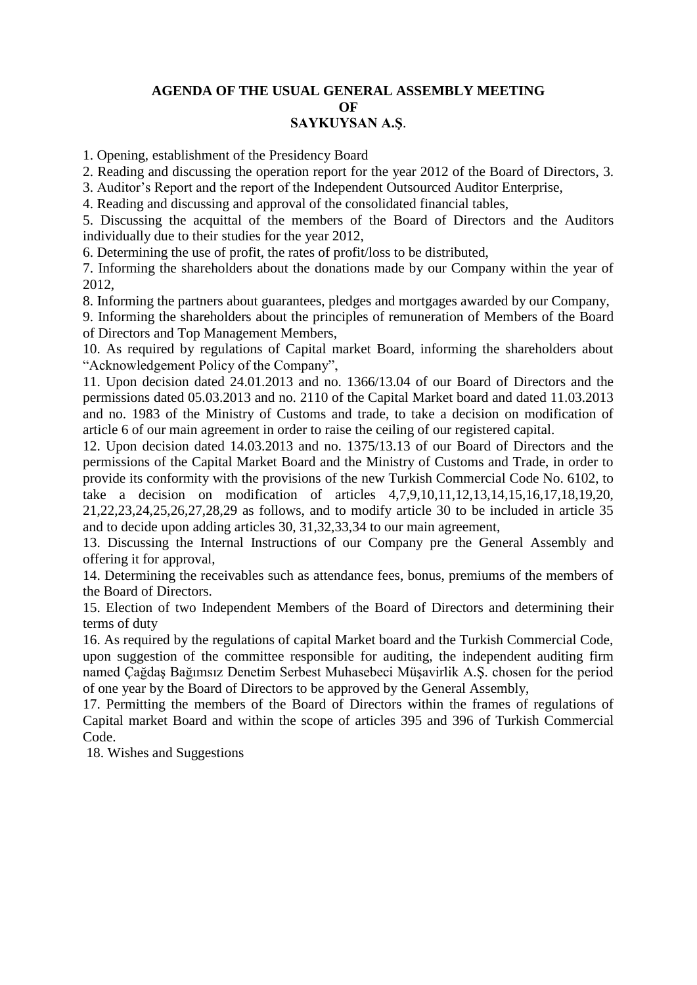## **AGENDA OF THE USUAL GENERAL ASSEMBLY MEETING OF SAYKUYSAN A.Ş**.

1. Opening, establishment of the Presidency Board

2. Reading and discussing the operation report for the year 2012 of the Board of Directors, 3.

3. Auditor's Report and the report of the Independent Outsourced Auditor Enterprise,

4. Reading and discussing and approval of the consolidated financial tables,

5. Discussing the acquittal of the members of the Board of Directors and the Auditors individually due to their studies for the year 2012,

6. Determining the use of profit, the rates of profit/loss to be distributed,

7. Informing the shareholders about the donations made by our Company within the year of 2012,

8. Informing the partners about guarantees, pledges and mortgages awarded by our Company,

9. Informing the shareholders about the principles of remuneration of Members of the Board of Directors and Top Management Members,

10. As required by regulations of Capital market Board, informing the shareholders about "Acknowledgement Policy of the Company",

11. Upon decision dated 24.01.2013 and no. 1366/13.04 of our Board of Directors and the permissions dated 05.03.2013 and no. 2110 of the Capital Market board and dated 11.03.2013 and no. 1983 of the Ministry of Customs and trade, to take a decision on modification of article 6 of our main agreement in order to raise the ceiling of our registered capital.

12. Upon decision dated 14.03.2013 and no. 1375/13.13 of our Board of Directors and the permissions of the Capital Market Board and the Ministry of Customs and Trade, in order to provide its conformity with the provisions of the new Turkish Commercial Code No. 6102, to take a decision on modification of articles 4,7,9,10,11,12,13,14,15,16,17,18,19,20, 21,22,23,24,25,26,27,28,29 as follows, and to modify article 30 to be included in article 35 and to decide upon adding articles 30, 31,32,33,34 to our main agreement,

13. Discussing the Internal Instructions of our Company pre the General Assembly and offering it for approval,

14. Determining the receivables such as attendance fees, bonus, premiums of the members of the Board of Directors.

15. Election of two Independent Members of the Board of Directors and determining their terms of duty

16. As required by the regulations of capital Market board and the Turkish Commercial Code, upon suggestion of the committee responsible for auditing, the independent auditing firm named Çağdaş Bağımsız Denetim Serbest Muhasebeci Müşavirlik A.Ş. chosen for the period of one year by the Board of Directors to be approved by the General Assembly,

17. Permitting the members of the Board of Directors within the frames of regulations of Capital market Board and within the scope of articles 395 and 396 of Turkish Commercial Code.

18. Wishes and Suggestions